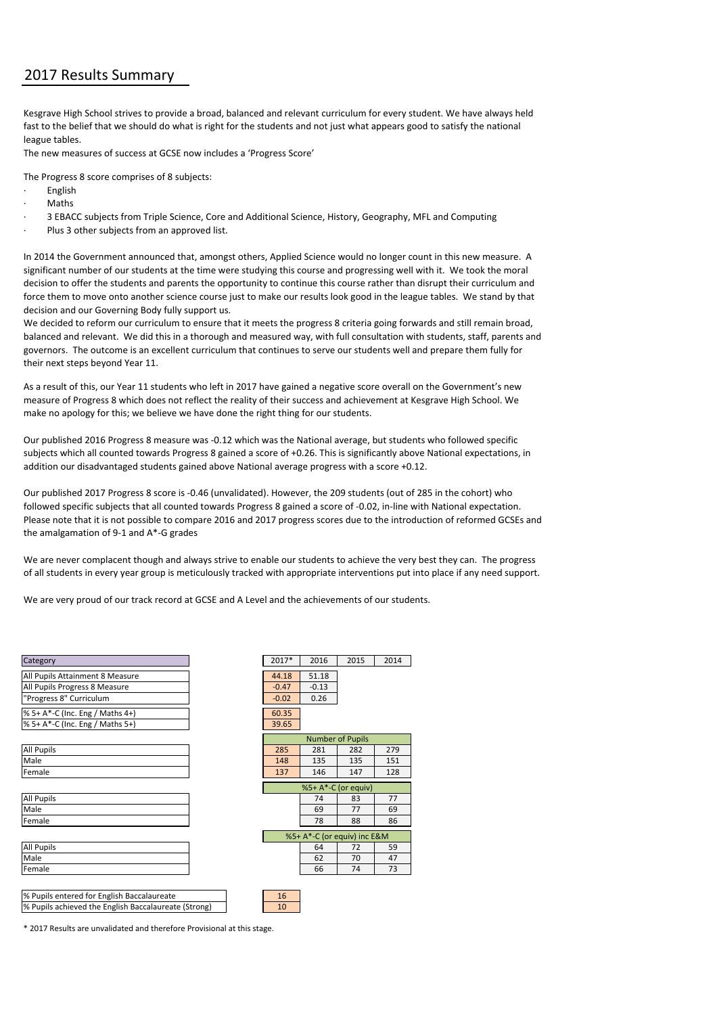## 2017 Results Summary

Kesgrave High School strives to provide a broad, balanced and relevant curriculum for every student. We have always held fast to the belief that we should do what is right for the students and not just what appears good to satisfy the national league tables.

The new measures of success at GCSE now includes a 'Progress Score'

The Progress 8 score comprises of 8 subjects:

- **English**
- · Maths
- · 3 EBACC subjects from Triple Science, Core and Additional Science, History, Geography, MFL and Computing
- Plus 3 other subjects from an approved list.

In 2014 the Government announced that, amongst others, Applied Science would no longer count in this new measure. A significant number of our students at the time were studying this course and progressing well with it. We took the moral decision to offer the students and parents the opportunity to continue this course rather than disrupt their curriculum and force them to move onto another science course just to make our results look good in the league tables. We stand by that decision and our Governing Body fully support us.

We decided to reform our curriculum to ensure that it meets the progress 8 criteria going forwards and still remain broad, balanced and relevant. We did this in a thorough and measured way, with full consultation with students, staff, parents and governors. The outcome is an excellent curriculum that continues to serve our students well and prepare them fully for their next steps beyond Year 11.

As a result of this, our Year 11 students who left in 2017 have gained a negative score overall on the Government's new measure of Progress 8 which does not reflect the reality of their success and achievement at Kesgrave High School. We make no apology for this; we believe we have done the right thing for our students.

Our published 2016 Progress 8 measure was -0.12 which was the National average, but students who followed specific subjects which all counted towards Progress 8 gained a score of +0.26. This is significantly above National expectations, in addition our disadvantaged students gained above National average progress with a score +0.12.

Our published 2017 Progress 8 score is -0.46 (unvalidated). However, the 209 students (out of 285 in the cohort) who followed specific subjects that all counted towards Progress 8 gained a score of -0.02, in-line with National expectation. Please note that it is not possible to compare 2016 and 2017 progress scores due to the introduction of reformed GCSEs and the amalgamation of 9-1 and A\*-G grades

We are never complacent though and always strive to enable our students to achieve the very best they can. The progress of all students in every year group is meticulously tracked with appropriate interventions put into place if any need support.

We are very proud of our track record at GCSE and A Level and the achievements of our students.

| Category                                             | 2017*               | 2016    | 2015                        | 2014 |
|------------------------------------------------------|---------------------|---------|-----------------------------|------|
| All Pupils Attainment 8 Measure                      | 44.18               | 51.18   |                             |      |
| All Pupils Progress 8 Measure                        | $-0.47$             | $-0.13$ |                             |      |
| "Progress 8" Curriculum                              | $-0.02$             | 0.26    |                             |      |
| % 5+ A*-C (Inc. Eng / Maths 4+)                      | 60.35               |         |                             |      |
| % 5+ A*-C (Inc. Eng / Maths 5+)                      | 39.65               |         |                             |      |
|                                                      |                     |         | <b>Number of Pupils</b>     |      |
| <b>All Pupils</b>                                    | 285                 | 281     | 282                         | 279  |
| Male                                                 | 148                 | 135     | 135                         | 151  |
| Female                                               | 137                 | 146     | 147                         | 128  |
|                                                      | %5+ A*-C (or equiv) |         |                             |      |
| <b>All Pupils</b>                                    |                     | 74      | 83                          | 77   |
| Male                                                 |                     | 69      | 77                          | 69   |
| Female                                               |                     | 78      | 88                          | 86   |
|                                                      |                     |         | %5+ A*-C (or equiv) inc E&M |      |
| <b>All Pupils</b>                                    |                     | 64      | 72                          | 59   |
| Male                                                 |                     | 62      | 70                          | 47   |
| Female                                               |                     | 66      | 74                          | 73   |
|                                                      |                     |         |                             |      |
| % Pupils entered for English Baccalaureate           | 16                  |         |                             |      |
| % Pupils achieved the English Baccalaureate (Strong) | 10                  |         |                             |      |

| 2017*                       | 2016    | 2015                    | 2014 |  |  |  |  |  |  |
|-----------------------------|---------|-------------------------|------|--|--|--|--|--|--|
| 44.18                       | 51.18   |                         |      |  |  |  |  |  |  |
| $-0.47$                     | $-0.13$ |                         |      |  |  |  |  |  |  |
| $-0.02$                     | 0.26    |                         |      |  |  |  |  |  |  |
| 60.35                       |         |                         |      |  |  |  |  |  |  |
| 39.65                       |         |                         |      |  |  |  |  |  |  |
|                             |         | <b>Number of Pupils</b> |      |  |  |  |  |  |  |
| 285                         | 281     | 282                     |      |  |  |  |  |  |  |
|                             |         |                         | 279  |  |  |  |  |  |  |
| 148                         | 135     | 135                     | 151  |  |  |  |  |  |  |
| 137                         | 146     | 147                     | 128  |  |  |  |  |  |  |
| %5+ A*-C (or equiv)         |         |                         |      |  |  |  |  |  |  |
|                             | 74      | 83                      | 77   |  |  |  |  |  |  |
|                             | 69      | 77                      | 69   |  |  |  |  |  |  |
|                             | 78      | 88                      | 86   |  |  |  |  |  |  |
| %5+ A*-C (or equiv) inc E&M |         |                         |      |  |  |  |  |  |  |
|                             | 64      | 72                      | 59   |  |  |  |  |  |  |
|                             | 62      | 70                      | 47   |  |  |  |  |  |  |
|                             | 66      | 74                      | 73   |  |  |  |  |  |  |
|                             |         |                         |      |  |  |  |  |  |  |
| 16                          |         |                         |      |  |  |  |  |  |  |

\* 2017 Results are unvalidated and therefore Provisional at this stage.